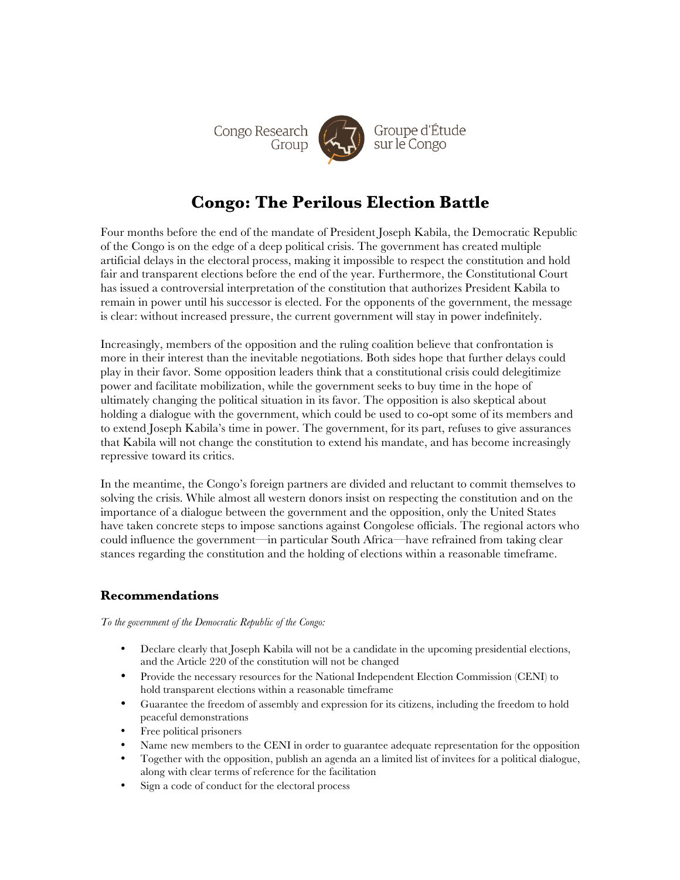

# **Congo: The Perilous Election Battle**

Four months before the end of the mandate of President Joseph Kabila, the Democratic Republic of the Congo is on the edge of a deep political crisis. The government has created multiple artificial delays in the electoral process, making it impossible to respect the constitution and hold fair and transparent elections before the end of the year. Furthermore, the Constitutional Court has issued a controversial interpretation of the constitution that authorizes President Kabila to remain in power until his successor is elected. For the opponents of the government, the message is clear: without increased pressure, the current government will stay in power indefinitely.

Increasingly, members of the opposition and the ruling coalition believe that confrontation is more in their interest than the inevitable negotiations. Both sides hope that further delays could play in their favor. Some opposition leaders think that a constitutional crisis could delegitimize power and facilitate mobilization, while the government seeks to buy time in the hope of ultimately changing the political situation in its favor. The opposition is also skeptical about holding a dialogue with the government, which could be used to co-opt some of its members and to extend Joseph Kabila's time in power. The government, for its part, refuses to give assurances that Kabila will not change the constitution to extend his mandate, and has become increasingly repressive toward its critics.

In the meantime, the Congo's foreign partners are divided and reluctant to commit themselves to solving the crisis. While almost all western donors insist on respecting the constitution and on the importance of a dialogue between the government and the opposition, only the United States have taken concrete steps to impose sanctions against Congolese officials. The regional actors who could influence the government—in particular South Africa—have refrained from taking clear stances regarding the constitution and the holding of elections within a reasonable timeframe.

## **Recommendations**

*To the government of the Democratic Republic of the Congo:*

- Declare clearly that Joseph Kabila will not be a candidate in the upcoming presidential elections, and the Article 220 of the constitution will not be changed
- Provide the necessary resources for the National Independent Election Commission (CENI) to hold transparent elections within a reasonable timeframe
- Guarantee the freedom of assembly and expression for its citizens, including the freedom to hold peaceful demonstrations
- Free political prisoners
- Name new members to the CENI in order to guarantee adequate representation for the opposition
- Together with the opposition, publish an agenda an a limited list of invitees for a political dialogue, along with clear terms of reference for the facilitation
- Sign a code of conduct for the electoral process